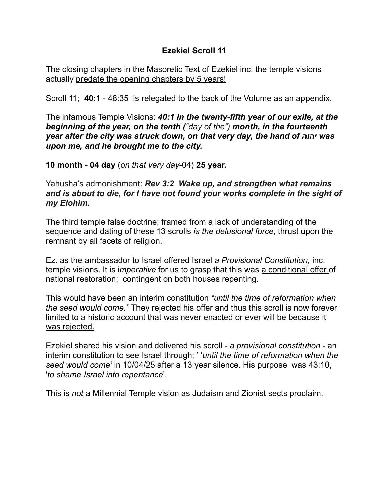## **Ezekiel Scroll 11**

The closing chapters in the Masoretic Text of Ezekiel inc. the temple visions actually predate the opening chapters by 5 years!

Scroll 11; **40:1** - 48:35 is relegated to the back of the Volume as an appendix.

The infamous Temple Visions: *40:1 In the twenty-fifth year of our exile, at the beginning of the year, on the tenth ("day of the") month, in the fourteenth year after the city was struck down, on that very day, the hand of יהוה was upon me, and he brought me to the city.* 

**10 month - 04 day** (*on that very day*-04) **25 year.** 

Yahusha's admonishment: *Rev 3:2 Wake up, and strengthen what remains and is about to die, for I have not found your works complete in the sight of my Elohim.* 

The third temple false doctrine; framed from a lack of understanding of the sequence and dating of these 13 scrolls *is the delusional force*, thrust upon the remnant by all facets of religion.

Ez. as the ambassador to Israel offered Israel *a Provisional Constitution,* inc. temple visions. It is i*mperative* for us to grasp that this was a conditional offer of national restoration; contingent on both houses repenting.

This would have been an interim constitution *"until the time of reformation when the seed would come."* They rejected his offer and thus this scroll is now forever limited to a historic account that was never enacted or ever will be because it was rejected.

Ezekiel shared his vision and delivered his scroll - *a provisional constitution* - an interim constitution to see Israel through; ' '*until the time of reformation when the seed would come'* in 10/04/25 after a 13 year silence. His purpose was 43:10, '*to shame Israel into repentance*'.

This is *not* a Millennial Temple vision as Judaism and Zionist sects proclaim.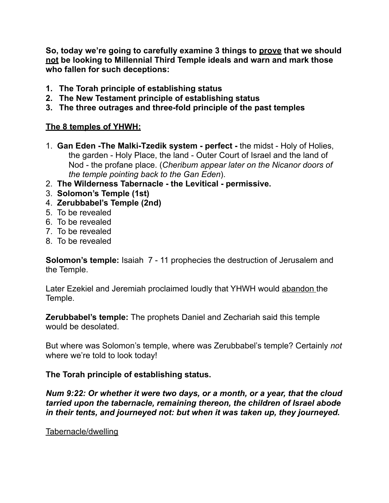**So, today we're going to carefully examine 3 things to prove that we should not be looking to Millennial Third Temple ideals and warn and mark those who fallen for such deceptions:** 

- **1. The Torah principle of establishing status**
- **2. The New Testament principle of establishing status**
- **3. The three outrages and three-fold principle of the past temples**

# **The 8 temples of YHWH:**

- 1. **Gan Eden -The Malki-Tzedik system perfect** the midst Holy of Holies, the garden - Holy Place, the land - Outer Court of Israel and the land of Nod - the profane place. (*Cheribum appear later on the Nicanor doors of the temple pointing back to the Gan Eden*).
- 2. **The Wilderness Tabernacle the Levitical permissive.**
- 3. **Solomon's Temple (1st)**
- 4. **Zerubbabel's Temple (2nd)**
- 5. To be revealed
- 6. To be revealed
- 7. To be revealed
- 8. To be revealed

**Solomon's temple:** Isaiah 7 - 11 prophecies the destruction of Jerusalem and the Temple.

Later Ezekiel and Jeremiah proclaimed loudly that YHWH would abandon the Temple.

**Zerubbabel's temple:** The prophets Daniel and Zechariah said this temple would be desolated.

But where was Solomon's temple, where was Zerubbabel's temple? Certainly *not*  where we're told to look today!

## **The Torah principle of establishing status.**

*Num 9:22: Or whether it were two days, or a month, or a year, that the cloud tarried upon the tabernacle, remaining thereon, the children of Israel abode in their tents, and journeyed not: but when it was taken up, they journeyed.* 

#### Tabernacle/dwelling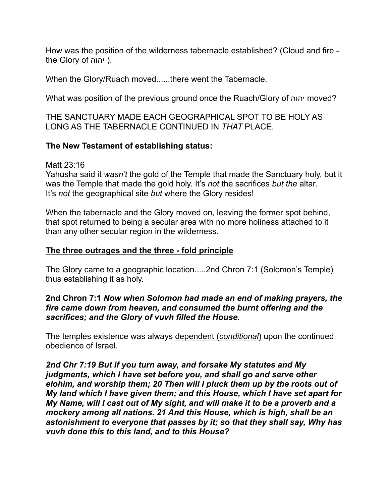How was the position of the wilderness tabernacle established? (Cloud and fire the Glory of יהוה).

When the Glory/Ruach moved......there went the Tabernacle.

What was position of the previous ground once the Ruach/Glory of יהוה moved?

THE SANCTUARY MADE EACH GEOGRAPHICAL SPOT TO BE HOLY AS LONG AS THE TABERNACLE CONTINUED IN *THAT* PLACE.

## **The New Testament of establishing status:**

Matt 23:16

Yahusha said it *wasn't* the gold of the Temple that made the Sanctuary holy, but it was the Temple that made the gold holy. It's *not* the sacrifices *but the* altar. It's *not* the geographical site *but* where the Glory resides!

When the tabernacle and the Glory moved on, leaving the former spot behind, that spot returned to being a secular area with no more holiness attached to it than any other secular region in the wilderness.

## **The three outrages and the three - fold principle**

The Glory came to a geographic location.....2nd Chron 7:1 (Solomon's Temple) thus establishing it as holy.

### **2nd Chron 7:1** *Now when Solomon had made an end of making prayers, the fire came down from heaven, and consumed the burnt offering and the sacrifices; and the Glory of vuvh filled the House.*

The temples existence was always dependent (*conditional*) upon the continued obedience of Israel.

*2nd Chr 7:19 But if you turn away, and forsake My statutes and My judgments, which I have set before you, and shall go and serve other elohim, and worship them; 20 Then will I pluck them up by the roots out of My land which I have given them; and this House, which I have set apart for My Name, will I cast out of My sight, and will make it to be a proverb and a mockery among all nations. 21 And this House, which is high, shall be an astonishment to everyone that passes by it; so that they shall say, Why has vuvh done this to this land, and to this House?*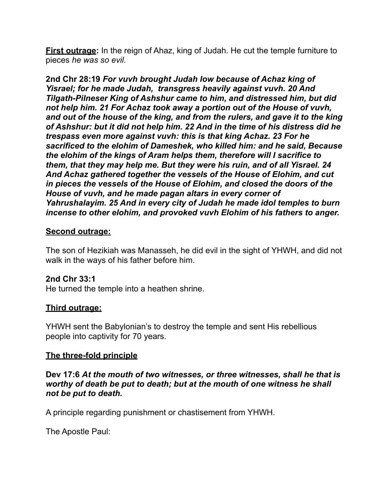**First outrage:** In the reign of Ahaz, king of Judah. He cut the temple furniture to pieces *he was so evil.* 

**2nd Chr 28:19** *For vuvh brought Judah low because of Achaz king of Yisrael; for he made Judah, transgress heavily against vuvh. 20 And Tilgath-Pilneser King of Ashshur came to him, and distressed him, but did not help him. 21 For Achaz took away a portion out of the House of vuvh, and out of the house of the king, and from the rulers, and gave it to the king of Ashshur: but it did not help him. 22 And in the time of his distress did he trespass even more against vuvh: this is that king Achaz. 23 For he sacrificed to the elohim of Dameshek, who killed him: and he said, Because the elohim of the kings of Aram helps them, therefore will I sacrifice to them, that they may help me. But they were his ruin, and of all Yisrael. 24 And Achaz gathered together the vessels of the House of Elohim, and cut in pieces the vessels of the House of Elohim, and closed the doors of the House of vuvh, and he made pagan altars in every corner of Yahrushalayim. 25 And in every city of Judah he made idol temples to burn incense to other elohim, and provoked vuvh Elohim of his fathers to anger.* 

## **Second outrage:**

The son of Hezikiah was Manasseh, he did evil in the sight of YHWH, and did not walk in the ways of his father before him.

#### **2nd Chr 33:1**

He turned the temple into a heathen shrine.

#### **Third outrage:**

YHWH sent the Babylonian's to destroy the temple and sent His rebellious people into captivity for 70 years.

## **The three-fold principle**

**Dev 17:6** *At the mouth of two witnesses, or three witnesses, shall he that is worthy of death be put to death; but at the mouth of one witness he shall not be put to death.* 

A principle regarding punishment or chastisement from YHWH.

The Apostle Paul: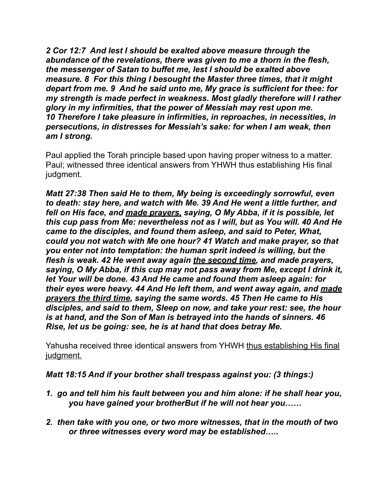*2 Cor 12:7 And lest I should be exalted above measure through the abundance of the revelations, there was given to me a thorn in the flesh, the messenger of Satan to buffet me, lest I should be exalted above measure. 8 For this thing I besought the Master three times, that it might depart from me. 9 And he said unto me, My grace is sufficient for thee: for my strength is made perfect in weakness. Most gladly therefore will I rather glory in my infirmities, that the power of Messiah may rest upon me. 10 Therefore I take pleasure in infirmities, in reproaches, in necessities, in persecutions, in distresses for Messiah's sake: for when I am weak, then am I strong.* 

Paul applied the Torah principle based upon having proper witness to a matter. Paul; witnessed three identical answers from YHWH thus establishing His final judgment.

*Matt 27:38 Then said He to them, My being is exceedingly sorrowful, even to death: stay here, and watch with Me. 39 And He went a little further, and fell on His face, and made prayers, saying, O My Abba, if it is possible, let this cup pass from Me: nevertheless not as I will, but as You will. 40 And He came to the disciples, and found them asleep, and said to Peter, What, could you not watch with Me one hour? 41 Watch and make prayer, so that you enter not into temptation: the human sprit indeed is willing, but the flesh is weak. 42 He went away again the second time, and made prayers, saying, O My Abba, if this cup may not pass away from Me, except I drink it, let Your will be done. 43 And He came and found them asleep again: for their eyes were heavy. 44 And He left them, and went away again, and made prayers the third time, saying the same words. 45 Then He came to His disciples, and said to them, Sleep on now, and take your rest: see, the hour is at hand, and the Son of Man is betrayed into the hands of sinners. 46 Rise, let us be going: see, he is at hand that does betray Me.* 

Yahusha received three identical answers from YHWH thus establishing His final judgment.

## *Matt 18:15 And if your brother shall trespass against you: (3 things:)*

- *1. go and tell him his fault between you and him alone: if he shall hear you, you have gained your brotherBut if he will not hear you……*
- *2. then take with you one, or two more witnesses, that in the mouth of two or three witnesses every word may be established…..*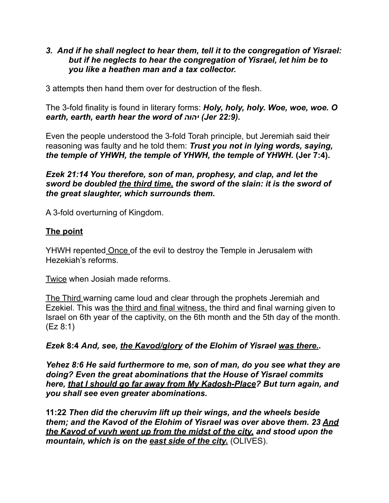### *3. And if he shall neglect to hear them, tell it to the congregation of Yisrael: but if he neglects to hear the congregation of Yisrael, let him be to you like a heathen man and a tax collector.*

3 attempts then hand them over for destruction of the flesh.

The 3-fold finality is found in literary forms: *Holy, holy, holy. Woe, woe, woe. O earth, earth, earth hear the word of יהוה) Jer 22:9).*

Even the people understood the 3-fold Torah principle, but Jeremiah said their reasoning was faulty and he told them: *Trust you not in lying words, saying, the temple of YHWH, the temple of YHWH, the temple of YHWH.* **(Jer 7:4).** 

*Ezek 21:14 You therefore, son of man, prophesy, and clap, and let the sword be doubled the third time, the sword of the slain: it is the sword of the great slaughter, which surrounds them.* 

A 3-fold overturning of Kingdom.

## **The point**

YHWH repented Once of the evil to destroy the Temple in Jerusalem with Hezekiah's reforms.

Twice when Josiah made reforms.

The Third warning came loud and clear through the prophets Jeremiah and Ezekiel. This was the third and final witness, the third and final warning given to Israel on 6th year of the captivity, on the 6th month and the 5th day of the month. (Ez 8:1)

*Ezek* **8:4** *And, see, the Kavod/glory of the Elohim of Yisrael was there..* 

*Yehez 8:6 He said furthermore to me, son of man, do you see what they are doing? Even the great abominations that the House of Yisrael commits here, that I should go far away from My Kadosh-Place? But turn again, and you shall see even greater abominations.* 

**11:22** *Then did the cheruvim lift up their wings, and the wheels beside them; and the Kavod of the Elohim of Yisrael was over above them. 23 And the Kavod of vuvh went up from the midst of the city, and stood upon the mountain, which is on the east side of the city.* (OLIVES).